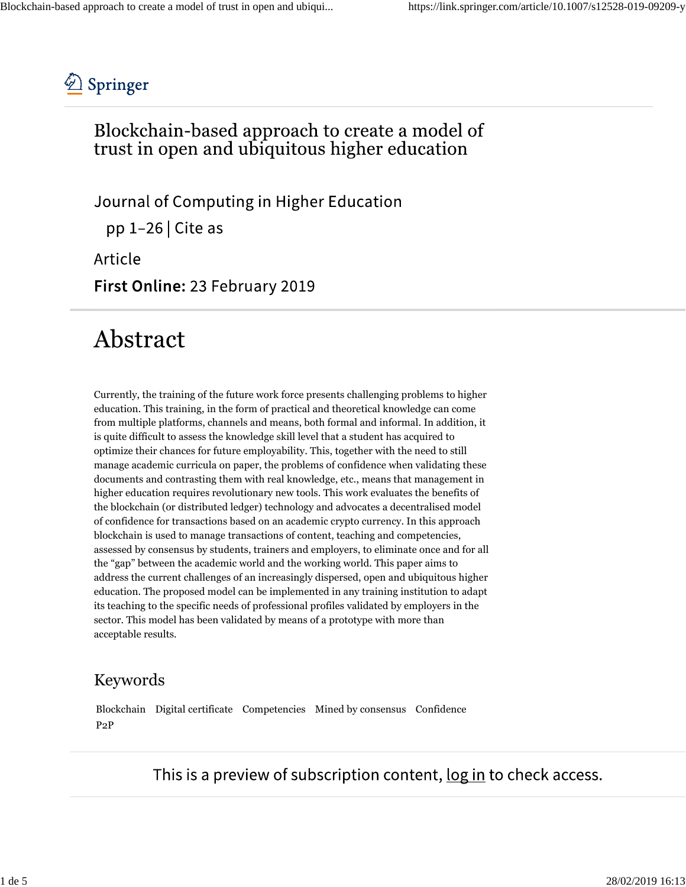

### Blockchain-based approach to create a model of trust in open and ubiquitous higher education

Journal of Computing in Higher Education pp  $1-26$  Cite as

Article

First Online: 23 February 2019

## Abstract

Currently, the training of the future work force presents challenging problems to higher education. This training, in the form of practical and theoretical knowledge can come from multiple platforms, channels and means, both formal and informal. In addition, it is quite difficult to assess the knowledge skill level that a student has acquired to optimize their chances for future employability. This, together with the need to still manage academic curricula on paper, the problems of confidence when validating these documents and contrasting them with real knowledge, etc., means that management in higher education requires revolutionary new tools. This work evaluates the benefits of the blockchain (or distributed ledger) technology and advocates a decentralised model of confidence for transactions based on an academic crypto currency. In this approach blockchain is used to manage transactions of content, teaching and competencies, assessed by consensus by students, trainers and employers, to eliminate once and for all the "gap" between the academic world and the working world. This paper aims to address the current challenges of an increasingly dispersed, open and ubiquitous higher education. The proposed model can be implemented in any training institution to adapt its teaching to the specific needs of professional profiles validated by employers in the sector. This model has been validated by means of a prototype with more than acceptable results.

#### Keywords

Blockchain Digital certificate Competencies Mined by consensus Confidence P2P

This is a preview of subscription content, log in to check access.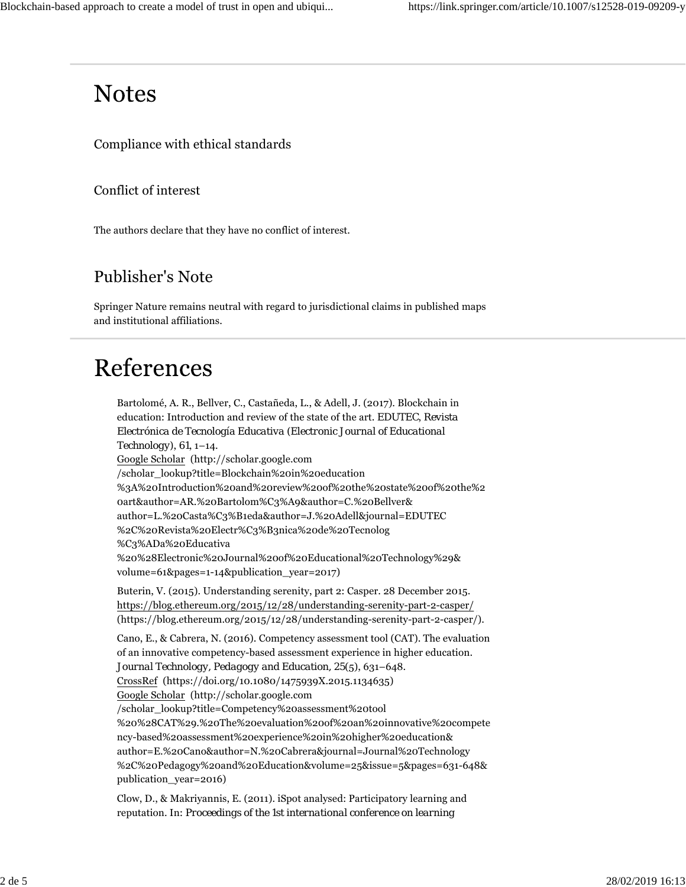### **Notes**

Compliance with ethical standards

Conflict of interest

The authors declare that they have no conflict of interest.

### Publisher's Note

Springer Nature remains neutral with regard to jurisdictional claims in published maps and institutional affiliations.

# References

Bartolomé, A. R., Bellver, C., Castañeda, L., & Adell, J. (2017). Blockchain in education: Introduction and review of the state of the art. *EDUTEC*, *Revista Electrónica de Tecnología Educativa (Electronic Journal of Educational Technology)*, *61*, 1–14. Google Scholar (http://scholar.google.com /scholar\_lookup?title=Blockchain%20in%20education %3A%20Introduction%20and%20review%20of%20the%20state%20of%20the%2 0art&author=AR.%20Bartolom%C3%A9&author=C.%20Bellver& author=L.%20Casta%C3%B1eda&author=J.%20Adell&journal=EDUTEC %2C%20Revista%20Electr%C3%B3nica%20de%20Tecnolog %C3%ADa%20Educativa %20%28Electronic%20Journal%20of%20Educational%20Technology%29& volume=61&pages=1-14&publication\_year=2017) Buterin, V. (2015). Understanding serenity, part 2: Casper. 28 December 2015. https://blog.ethereum.org/2015/12/28/understanding-serenity-part-2-casper/ (https://blog.ethereum.org/2015/12/28/understanding-serenity-part-2-casper/). Cano, E., & Cabrera, N. (2016). Competency assessment tool (CAT). The evaluation of an innovative competency-based assessment experience in higher education. *Journal Technology, Pedagogy and Education, 25*(5), 631–648. CrossRef (https://doi.org/10.1080/1475939X.2015.1134635) Google Scholar (http://scholar.google.com /scholar\_lookup?title=Competency%20assessment%20tool %20%28CAT%29.%20The%20evaluation%20of%20an%20innovative%20compete ncy-based%20assessment%20experience%20in%20higher%20education& author=E.%20Cano&author=N.%20Cabrera&journal=Journal%20Technology %2C%20Pedagogy%20and%20Education&volume=25&issue=5&pages=631-648& publication\_year=2016)

Clow, D., & Makriyannis, E. (2011). iSpot analysed: Participatory learning and reputation. In: *Proceedings of the 1st international conference on learning*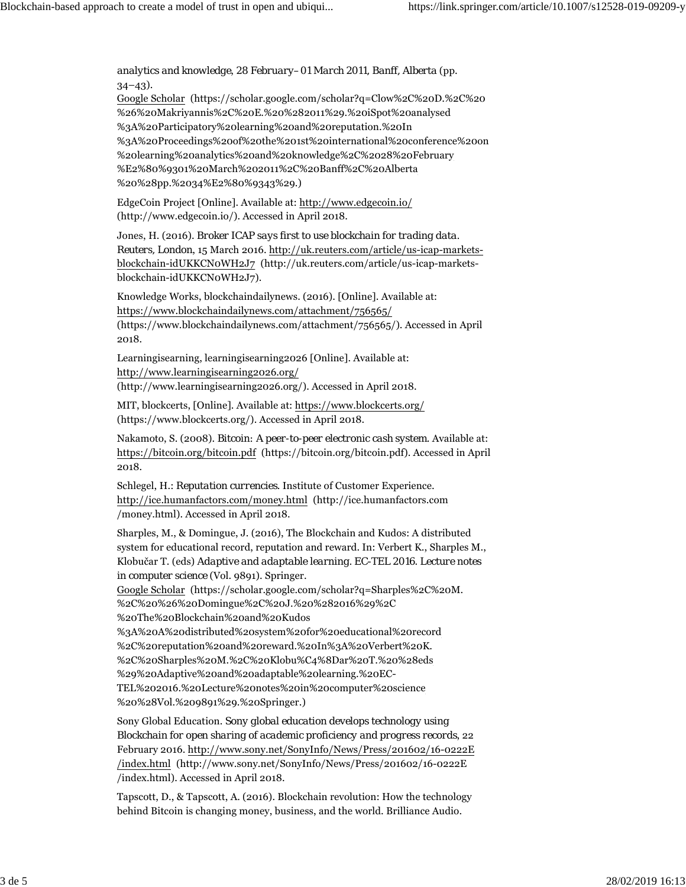*analytics and knowledge*, *28 February–01 March 2011, Banff, Alberta* (pp.  $34-43$ ).

Google Scholar (https://scholar.google.com/scholar?q=Clow%2C%20D.%2C%20 %26%20Makriyannis%2C%20E.%20%282011%29.%20iSpot%20analysed %3A%20Participatory%20learning%20and%20reputation.%20In %3A%20Proceedings%20of%20the%201st%20international%20conference%20on %20learning%20analytics%20and%20knowledge%2C%2028%20February %E2%80%9301%20March%202011%2C%20Banff%2C%20Alberta %20%28pp.%2034%E2%80%9343%29.)

EdgeCoin Project [Online]. Available at: http://www.edgecoin.io/ (http://www.edgecoin.io/). Accessed in April 2018.

Jones, H. (2016). *Broker ICAP says first to use blockchain for trading data. Reuters, London*, 15 March 2016. http://uk.reuters.com/article/us-icap-marketsblockchain-idUKKCN0WH2J7 (http://uk.reuters.com/article/us-icap-marketsblockchain-idUKKCN0WH2J7).

Knowledge Works, blockchaindailynews. (2016). [Online]. Available at: https://www.blockchaindailynews.com/attachment/756565/ (https://www.blockchaindailynews.com/attachment/756565/). Accessed in April 2018.

Learningisearning, learningisearning2026 [Online]. Available at: http://www.learningisearning2026.org/

(http://www.learningisearning2026.org/). Accessed in April 2018.

MIT, blockcerts, [Online]. Available at: https://www.blockcerts.org/ (https://www.blockcerts.org/). Accessed in April 2018.

Nakamoto, S. (2008). *Bitcoin: A peer-to-peer electronic cash system*. Available at: https://bitcoin.org/bitcoin.pdf (https://bitcoin.org/bitcoin.pdf). Accessed in April 2018.

Schlegel, H.: *Reputation currencies*. Institute of Customer Experience. http://ice.humanfactors.com/money.html (http://ice.humanfactors.com /money.html). Accessed in April 2018.

Sharples, M., & Domingue, J. (2016), The Blockchain and Kudos: A distributed system for educational record, reputation and reward. In: Verbert K., Sharples M., Klobučar T. (eds) *Adaptive and adaptable learning. EC*-*TEL 2016*. *Lecture notes in computer science* (Vol. 9891). Springer.

Google Scholar (https://scholar.google.com/scholar?q=Sharples%2C%20M. %2C%20%26%20Domingue%2C%20J.%20%282016%29%2C %20The%20Blockchain%20and%20Kudos

%3A%20A%20distributed%20system%20for%20educational%20record %2C%20reputation%20and%20reward.%20In%3A%20Verbert%20K. %2C%20Sharples%20M.%2C%20Klobu%C4%8Dar%20T.%20%28eds %29%20Adaptive%20and%20adaptable%20learning.%20EC-TEL%202016.%20Lecture%20notes%20in%20computer%20science %20%28Vol.%209891%29.%20Springer.)

Sony Global Education. *Sony global education develops technology using Blockchain for open sharing of academic proficiency and progress records*, 22 February 2016. http://www.sony.net/SonyInfo/News/Press/201602/16-0222E /index.html (http://www.sony.net/SonyInfo/News/Press/201602/16-0222E /index.html). Accessed in April 2018.

Tapscott, D., & Tapscott, A. (2016). Blockchain revolution: How the technology behind Bitcoin is changing money, business, and the world. Brilliance Audio.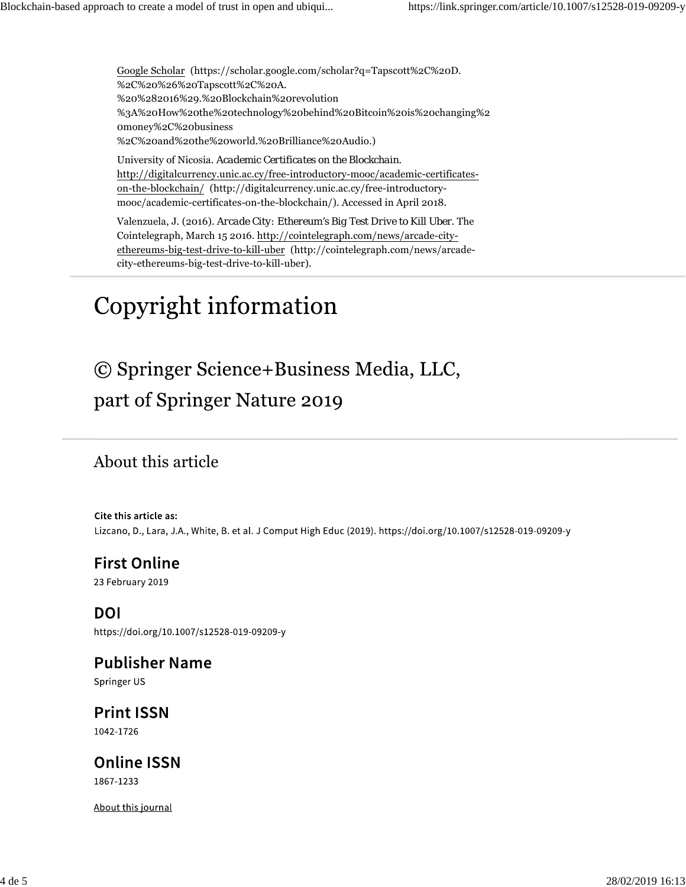Google Scholar (https://scholar.google.com/scholar?q=Tapscott%2C%20D. %2C%20%26%20Tapscott%2C%20A. %20%282016%29.%20Blockchain%20revolution %3A%20How%20the%20technology%20behind%20Bitcoin%20is%20changing%2 0money%2C%20business %2C%20and%20the%20world.%20Brilliance%20Audio.)

University of Nicosia. *Academic Certificates on the Blockchain*. http://digitalcurrency.unic.ac.cy/free-introductory-mooc/academic-certificateson-the-blockchain/ (http://digitalcurrency.unic.ac.cy/free-introductorymooc/academic-certificates-on-the-blockchain/). Accessed in April 2018.

Valenzuela, J. (2016). *Arcade City: Ethereum's Big Test Drive to Kill Uber*. The Cointelegraph, March 15 2016. http://cointelegraph.com/news/arcade-cityethereums-big-test-drive-to-kill-uber (http://cointelegraph.com/news/arcadecity-ethereums-big-test-drive-to-kill-uber).

## Copyright information

© Springer Science+Business Media, LLC, part of Springer Nature 2019

#### About this article

Cite this article as: Lizcano, D., Lara, J.A., White, B. et al. J Comput High Educ (2019). https://doi.org/10.1007/s12528-019-09209-y

#### **First Online** 23 February 2019

**DOI** https://doi.org/10.1007/s12528-019-09209-y

**Publisher Name** Springer US

**Print ISSN** 1042-1726

**Online ISSN** 1867-1233

About this journal